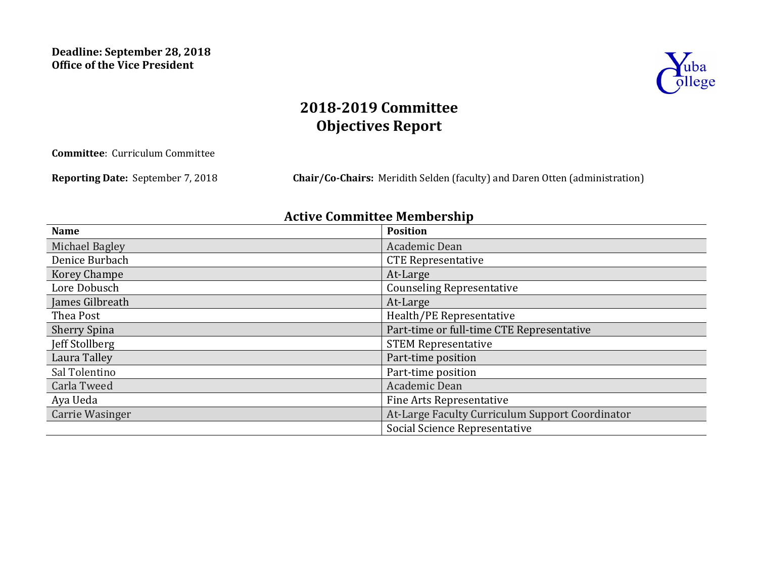

# **2018-2019 Committee Objectives Report**

**Committee:** Curriculum Committee

**Reporting Date:** September 7, 2018 **Chair/Co-Chairs:** Meridith Selden (faculty) and Daren Otten (administration)

## **Active Committee Membership**

| <b>Name</b>         | <b>Position</b>                                 |
|---------------------|-------------------------------------------------|
| Michael Bagley      | Academic Dean                                   |
| Denice Burbach      | <b>CTE Representative</b>                       |
| <b>Korey Champe</b> | At-Large                                        |
| Lore Dobusch        | <b>Counseling Representative</b>                |
| James Gilbreath     | At-Large                                        |
| Thea Post           | Health/PE Representative                        |
| <b>Sherry Spina</b> | Part-time or full-time CTE Representative       |
| Jeff Stollberg      | <b>STEM Representative</b>                      |
| Laura Talley        | Part-time position                              |
| Sal Tolentino       | Part-time position                              |
| Carla Tweed         | Academic Dean                                   |
| Aya Ueda            | <b>Fine Arts Representative</b>                 |
| Carrie Wasinger     | At-Large Faculty Curriculum Support Coordinator |
|                     | Social Science Representative                   |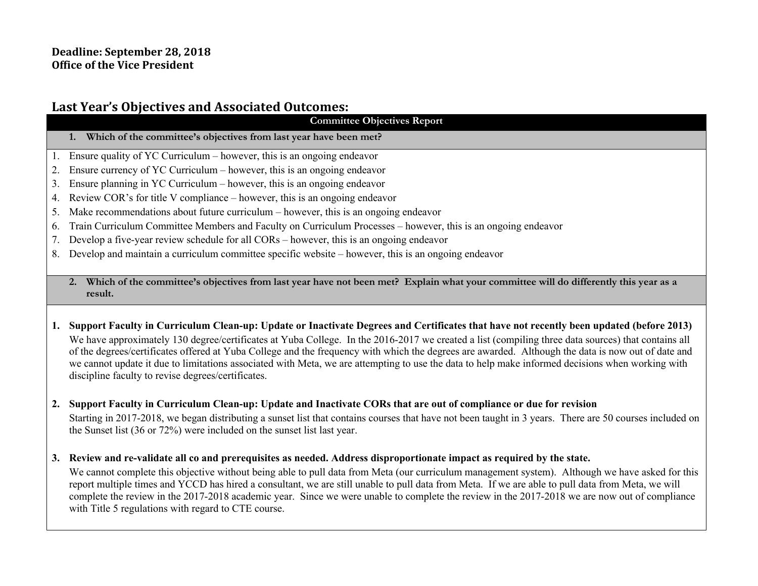## Last Year's Objectives and Associated Outcomes:

**Committee Objectives Report**

- **1. Which of the committee's objectives from last year have been met?**
- 1. Ensure quality of YC Curriculum however, this is an ongoing endeavor
- 2. Ensure currency of YC Curriculum however, this is an ongoing endeavor
- 3. Ensure planning in YC Curriculum however, this is an ongoing endeavor
- 4. Review COR's for title V compliance however, this is an ongoing endeavor
- 5. Make recommendations about future curriculum however, this is an ongoing endeavor
- 6. Train Curriculum Committee Members and Faculty on Curriculum Processes however, this is an ongoing endeavor
- 7. Develop a five-year review schedule for all CORs however, this is an ongoing endeavor
- 8. Develop and maintain a curriculum committee specific website however, this is an ongoing endeavor
	- **2. Which of the committee's objectives from last year have not been met? Explain what your committee will do differently this year as a result.**
- **1. Support Faculty in Curriculum Clean-up: Update or Inactivate Degrees and Certificates that have not recently been updated (before 2013)** We have approximately 130 degree/certificates at Yuba College. In the 2016-2017 we created a list (compiling three data sources) that contains all of the degrees/certificates offered at Yuba College and the frequency with which the degrees are awarded. Although the data is now out of date and we cannot update it due to limitations associated with Meta, we are attempting to use the data to help make informed decisions when working with discipline faculty to revise degrees/certificates.
- **2. Support Faculty in Curriculum Clean-up: Update and Inactivate CORs that are out of compliance or due for revision**  Starting in 2017-2018, we began distributing a sunset list that contains courses that have not been taught in 3 years. There are 50 courses included on the Sunset list (36 or 72%) were included on the sunset list last year.
- **3. Review and re-validate all co and prerequisites as needed. Address disproportionate impact as required by the state.**

We cannot complete this objective without being able to pull data from Meta (our curriculum management system). Although we have asked for this report multiple times and YCCD has hired a consultant, we are still unable to pull data from Meta. If we are able to pull data from Meta, we will complete the review in the 2017-2018 academic year. Since we were unable to complete the review in the 2017-2018 we are now out of compliance with Title 5 regulations with regard to CTE course.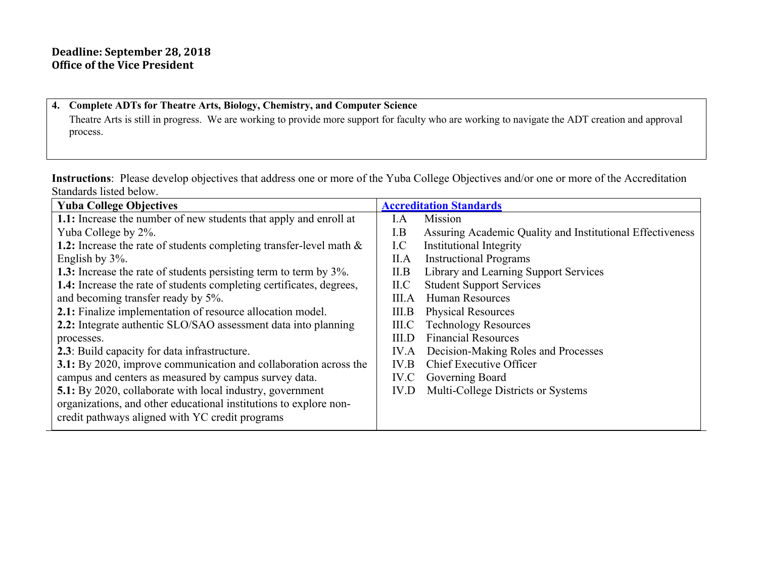$\sim$ 

### **4. Complete ADTs for Theatre Arts, Biology, Chemistry, and Computer Science**

Theatre Arts is still in progress. We are working to provide more support for faculty who are working to navigate the ADT creation and approval process.

**Instructions**: Please develop objectives that address one or more of the Yuba College Objectives and/or one or more of the Accreditation Standards listed below.

| <b>Yuba College Objectives</b>                                       | <b>Accreditation Standards</b>                                   |
|----------------------------------------------------------------------|------------------------------------------------------------------|
| 1.1: Increase the number of new students that apply and enroll at    | Mission<br>I.A                                                   |
| Yuba College by 2%.                                                  | Assuring Academic Quality and Institutional Effectiveness<br>I.B |
| 1.2: Increase the rate of students completing transfer-level math &  | <b>Institutional Integrity</b><br>I.C                            |
| English by 3%.                                                       | <b>Instructional Programs</b><br>II.A                            |
| 1.3: Increase the rate of students persisting term to term by 3%.    | Library and Learning Support Services<br>II.B                    |
| 1.4: Increase the rate of students completing certificates, degrees, | <b>Student Support Services</b><br>ILC                           |
| and becoming transfer ready by 5%.                                   | <b>Human Resources</b><br>III.A                                  |
| 2.1: Finalize implementation of resource allocation model.           | <b>Physical Resources</b><br>III.B                               |
| 2.2: Integrate authentic SLO/SAO assessment data into planning       | <b>Technology Resources</b><br>$_{\rm IILC}$                     |
| processes.                                                           | <b>Financial Resources</b><br>III.D                              |
| 2.3: Build capacity for data infrastructure.                         | Decision-Making Roles and Processes<br>IV.A                      |
| 3.1: By 2020, improve communication and collaboration across the     | Chief Executive Officer<br>IV.B                                  |
| campus and centers as measured by campus survey data.                | Governing Board<br>IV.C                                          |
| <b>5.1:</b> By 2020, collaborate with local industry, government     | Multi-College Districts or Systems<br>IV.D                       |
| organizations, and other educational institutions to explore non-    |                                                                  |
| credit pathways aligned with YC credit programs                      |                                                                  |
|                                                                      |                                                                  |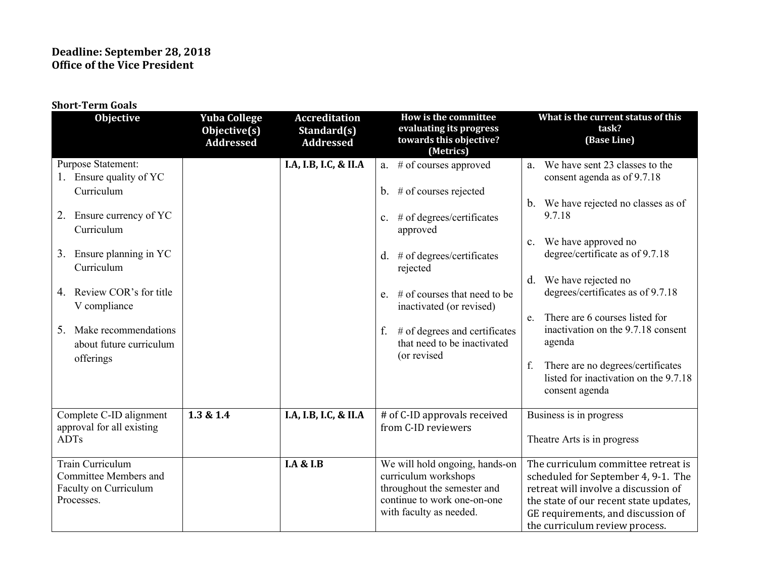| <b>Short-Term Goals</b>                                                                                                                                                                                                                                                                       |                                                         |                                                         |                                                                                                                                                                                                                                                                                                                                         |                                                                                                                                                                                                                                                                                                                                                                                                                                                                         |
|-----------------------------------------------------------------------------------------------------------------------------------------------------------------------------------------------------------------------------------------------------------------------------------------------|---------------------------------------------------------|---------------------------------------------------------|-----------------------------------------------------------------------------------------------------------------------------------------------------------------------------------------------------------------------------------------------------------------------------------------------------------------------------------------|-------------------------------------------------------------------------------------------------------------------------------------------------------------------------------------------------------------------------------------------------------------------------------------------------------------------------------------------------------------------------------------------------------------------------------------------------------------------------|
| Objective                                                                                                                                                                                                                                                                                     | <b>Yuba College</b><br>Objective(s)<br><b>Addressed</b> | <b>Accreditation</b><br>Standard(s)<br><b>Addressed</b> | How is the committee<br>evaluating its progress<br>towards this objective?<br>(Metrics)                                                                                                                                                                                                                                                 | What is the current status of this<br>task?<br>(Base Line)                                                                                                                                                                                                                                                                                                                                                                                                              |
| Purpose Statement:<br>1. Ensure quality of YC<br>Curriculum<br>2. Ensure currency of YC<br>Curriculum<br>3. Ensure planning in YC<br>Curriculum<br>4. Review COR's for title<br>V compliance<br>Make recommendations<br>5.<br>about future curriculum<br>offerings<br>Complete C-ID alignment | 1.3 & 1.4                                               | I.A, I.B, I.C, & II.A<br>I.A, I.B, I.C, & II.A          | a. # of courses approved<br>b. $#$ of courses rejected<br>c. # of degrees/certificates<br>approved<br>d. $#$ of degrees/certificates<br>rejected<br>e. $\#$ of courses that need to be<br>inactivated (or revised)<br># of degrees and certificates<br>f.<br>that need to be inactivated<br>(or revised<br># of C-ID approvals received | a. We have sent 23 classes to the<br>consent agenda as of 9.7.18<br>b. We have rejected no classes as of<br>9.7.18<br>c. We have approved no<br>degree/certificate as of 9.7.18<br>d. We have rejected no<br>degrees/certificates as of 9.7.18<br>There are 6 courses listed for<br>e.<br>inactivation on the 9.7.18 consent<br>agenda<br>There are no degrees/certificates<br>f.<br>listed for inactivation on the 9.7.18<br>consent agenda<br>Business is in progress |
| approval for all existing<br><b>ADTs</b>                                                                                                                                                                                                                                                      |                                                         |                                                         | from C-ID reviewers                                                                                                                                                                                                                                                                                                                     | Theatre Arts is in progress                                                                                                                                                                                                                                                                                                                                                                                                                                             |
| <b>Train Curriculum</b><br>Committee Members and<br>Faculty on Curriculum<br>Processes.                                                                                                                                                                                                       |                                                         | <b>I.A &amp; I.B</b>                                    | We will hold ongoing, hands-on<br>curriculum workshops<br>throughout the semester and<br>continue to work one-on-one<br>with faculty as needed.                                                                                                                                                                                         | The curriculum committee retreat is<br>scheduled for September 4, 9-1. The<br>retreat will involve a discussion of<br>the state of our recent state updates,<br>GE requirements, and discussion of<br>the curriculum review process.                                                                                                                                                                                                                                    |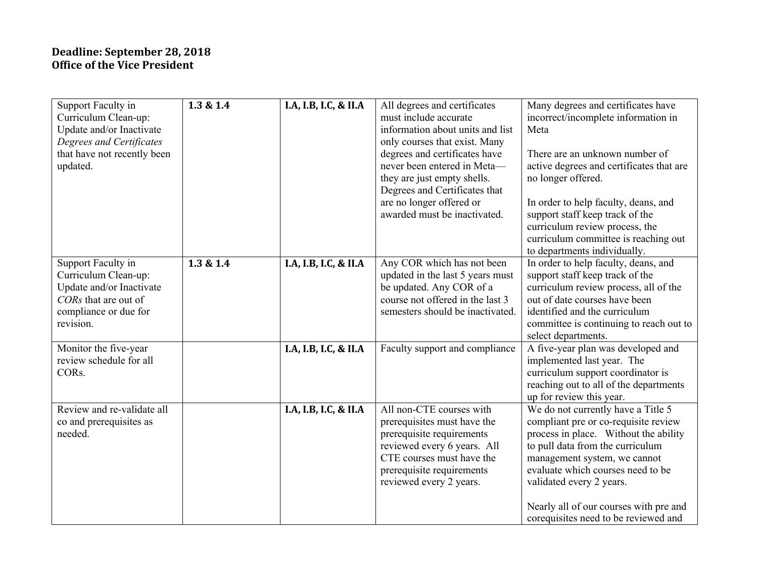| Support Faculty in<br>Curriculum Clean-up:<br>Update and/or Inactivate<br>Degrees and Certificates<br>that have not recently been<br>updated. | 1.3 & 1.4 | I.A, I.B, I.C, & II.A | All degrees and certificates<br>must include accurate<br>information about units and list<br>only courses that exist. Many<br>degrees and certificates have<br>never been entered in Meta-<br>they are just empty shells.<br>Degrees and Certificates that<br>are no longer offered or<br>awarded must be inactivated. | Many degrees and certificates have<br>incorrect/incomplete information in<br>Meta<br>There are an unknown number of<br>active degrees and certificates that are<br>no longer offered.<br>In order to help faculty, deans, and<br>support staff keep track of the<br>curriculum review process, the<br>curriculum committee is reaching out<br>to departments individually. |
|-----------------------------------------------------------------------------------------------------------------------------------------------|-----------|-----------------------|------------------------------------------------------------------------------------------------------------------------------------------------------------------------------------------------------------------------------------------------------------------------------------------------------------------------|----------------------------------------------------------------------------------------------------------------------------------------------------------------------------------------------------------------------------------------------------------------------------------------------------------------------------------------------------------------------------|
| Support Faculty in<br>Curriculum Clean-up:<br>Update and/or Inactivate<br>CORs that are out of<br>compliance or due for<br>revision.          | 1.3 & 1.4 | I.A, I.B, I.C, & II.A | Any COR which has not been<br>updated in the last 5 years must<br>be updated. Any COR of a<br>course not offered in the last 3<br>semesters should be inactivated.                                                                                                                                                     | In order to help faculty, deans, and<br>support staff keep track of the<br>curriculum review process, all of the<br>out of date courses have been<br>identified and the curriculum<br>committee is continuing to reach out to<br>select departments.                                                                                                                       |
| Monitor the five-year<br>review schedule for all<br>CORs.                                                                                     |           | I.A, I.B, I.C, & II.A | Faculty support and compliance                                                                                                                                                                                                                                                                                         | A five-year plan was developed and<br>implemented last year. The<br>curriculum support coordinator is<br>reaching out to all of the departments<br>up for review this year.                                                                                                                                                                                                |
| Review and re-validate all<br>co and prerequisites as<br>needed.                                                                              |           | I.A, I.B, I.C, & II.A | All non-CTE courses with<br>prerequisites must have the<br>prerequisite requirements<br>reviewed every 6 years. All<br>CTE courses must have the<br>prerequisite requirements<br>reviewed every 2 years.                                                                                                               | We do not currently have a Title 5<br>compliant pre or co-requisite review<br>process in place. Without the ability<br>to pull data from the curriculum<br>management system, we cannot<br>evaluate which courses need to be<br>validated every 2 years.<br>Nearly all of our courses with pre and<br>corequisites need to be reviewed and                                 |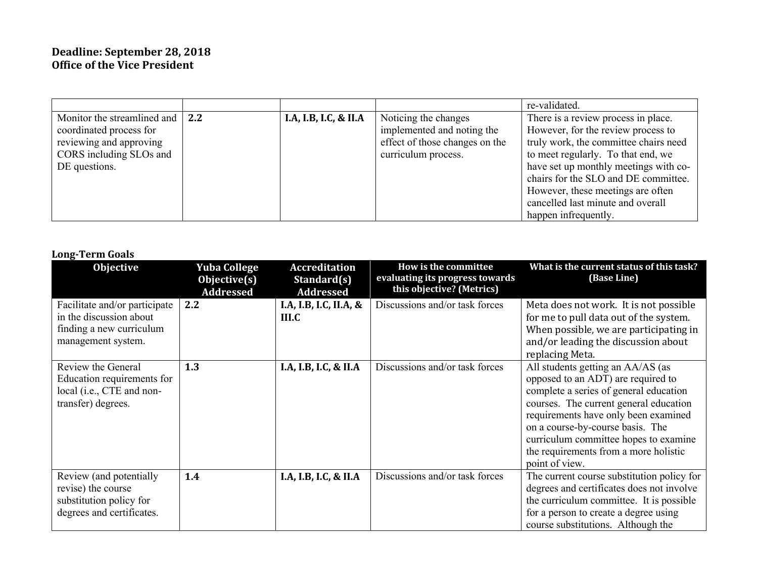|                             |              |                       |                                | re-validated.                         |
|-----------------------------|--------------|-----------------------|--------------------------------|---------------------------------------|
| Monitor the streamlined and | $\sqrt{2.2}$ | I.A, I.B, I.C, & II.A | Noticing the changes           | There is a review process in place.   |
| coordinated process for     |              |                       | implemented and noting the     | However, for the review process to    |
| reviewing and approving     |              |                       | effect of those changes on the | truly work, the committee chairs need |
| CORS including SLOs and     |              |                       | curriculum process.            | to meet regularly. To that end, we    |
| DE questions.               |              |                       |                                | have set up monthly meetings with co- |
|                             |              |                       |                                | chairs for the SLO and DE committee.  |
|                             |              |                       |                                | However, these meetings are often     |
|                             |              |                       |                                | cancelled last minute and overall     |
|                             |              |                       |                                | happen infrequently.                  |

#### **Long-Term Goals**

| Pong Term gours                                                                                            |                                                         |                                                         |                                                                                      |                                                                                                                                                                                                                                                                                                                                             |
|------------------------------------------------------------------------------------------------------------|---------------------------------------------------------|---------------------------------------------------------|--------------------------------------------------------------------------------------|---------------------------------------------------------------------------------------------------------------------------------------------------------------------------------------------------------------------------------------------------------------------------------------------------------------------------------------------|
| Objective                                                                                                  | <b>Yuba College</b><br>Objective(s)<br><b>Addressed</b> | <b>Accreditation</b><br>Standard(s)<br><b>Addressed</b> | How is the committee<br>evaluating its progress towards<br>this objective? (Metrics) | What is the current status of this task?<br>(Base Line)                                                                                                                                                                                                                                                                                     |
| Facilitate and/or participate<br>in the discussion about<br>finding a new curriculum<br>management system. | 2.2                                                     | I.A, I.B, I.C, II.A, &<br>III.C                         | Discussions and/or task forces                                                       | Meta does not work. It is not possible<br>for me to pull data out of the system.<br>When possible, we are participating in<br>and/or leading the discussion about<br>replacing Meta.                                                                                                                                                        |
| Review the General<br>Education requirements for<br>local (i.e., CTE and non-<br>transfer) degrees.        | 1.3                                                     | I.A, I.B, I.C, & II.A                                   | Discussions and/or task forces                                                       | All students getting an AA/AS (as<br>opposed to an ADT) are required to<br>complete a series of general education<br>courses. The current general education<br>requirements have only been examined<br>on a course-by-course basis. The<br>curriculum committee hopes to examine<br>the requirements from a more holistic<br>point of view. |
| Review (and potentially<br>revise) the course<br>substitution policy for<br>degrees and certificates.      | 1.4                                                     | I.A, I.B, I.C, & II.A                                   | Discussions and/or task forces                                                       | The current course substitution policy for<br>degrees and certificates does not involve<br>the curriculum committee. It is possible<br>for a person to create a degree using<br>course substitutions. Although the                                                                                                                          |